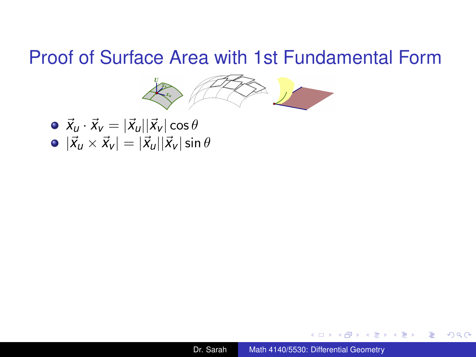

- <span id="page-0-0"></span> $\vec{x}_u \cdot \vec{x}_v = |\vec{x}_u||\vec{x}_v|\cos\theta$
- $\int \vec{x}_u \times \vec{x}_v = |\vec{x}_u||\vec{x}_v| \sin \theta$



B

ミト

 $2Q$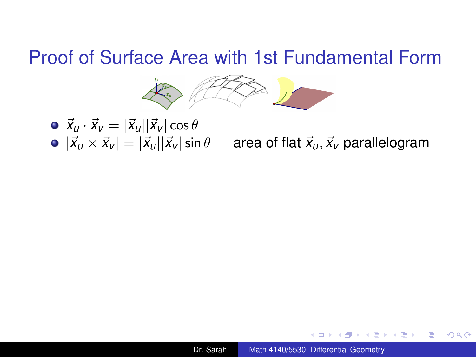

- $\vec{x}_u \cdot \vec{x}_v = |\vec{x}_u||\vec{x}_v|\cos\theta$
- 

 $|\vec{x}_u \times \vec{x}_v| = |\vec{x}_u||\vec{x}_v| \sin \theta$  area of flat  $\vec{x}_u, \vec{x}_v$  parallelogram

 $2Q$ 

€

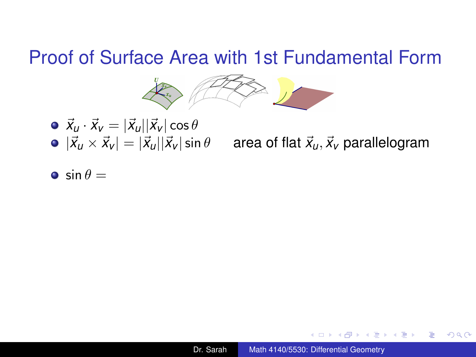

- $\vec{x}_u \cdot \vec{x}_v = |\vec{x}_u||\vec{x}_v|\cos\theta$
- 

 $|\vec{x}_u \times \vec{x}_v| = |\vec{x}_u||\vec{x}_v| \sin \theta$  area of flat  $\vec{x}_u, \vec{x}_v$  parallelogram

 $2Q$ 

э

 $\bullet$  sin  $\theta =$ 

Dr. Sarah [Math 4140/5530: Differential Geometry](#page-0-0)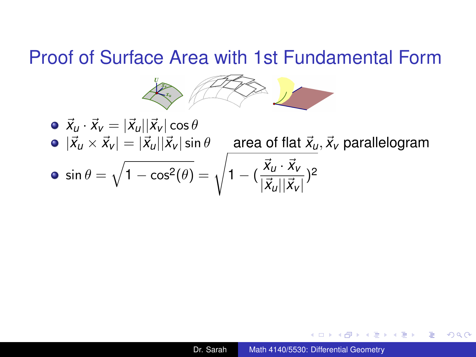

\n- \n
$$
\vec{x}_u \cdot \vec{x}_v = |\vec{x}_u||\vec{x}_v| \cos \theta
$$
\n
\n- \n
$$
|\vec{x}_u \times \vec{x}_v| = |\vec{x}_u||\vec{x}_v| \sin \theta
$$
\n*area of flat*\n
$$
\vec{x}_u, \vec{x}_v \text{ parallelogram}
$$
\n
\n- \n
$$
\sin \theta = \sqrt{1 - \cos^2(\theta)} = \sqrt{1 - (\frac{\vec{x}_u \cdot \vec{x}_v}{|\vec{x}_u||\vec{x}_v|})^2}
$$
\n
\n

Dr. Sarah [Math 4140/5530: Differential Geometry](#page-0-0)

4 0 8

重し  $2990$ 

医电子 化重子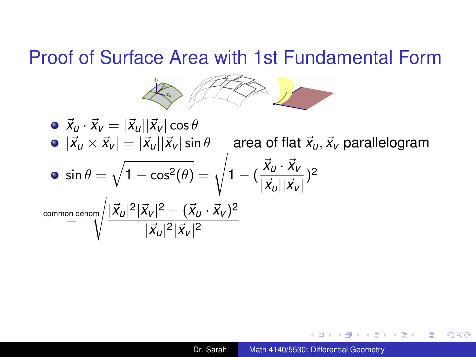

\n- \n
$$
\vec{x}_u \cdot \vec{x}_v = |\vec{x}_u||\vec{x}_v| \cos \theta
$$
\n
\n- \n
$$
|\vec{x}_u \times \vec{x}_v| = |\vec{x}_u||\vec{x}_v| \sin \theta
$$
\n*area of flat*\n
$$
\vec{x}_u, \vec{x}_v
$$
\n*parallellogram*\n
\n- \n
$$
\sin \theta = \sqrt{1 - \cos^2(\theta)} = \sqrt{1 - (\frac{\vec{x}_u \cdot \vec{x}_v}{|\vec{x}_u||\vec{x}_v|})^2}
$$
\n
\n- \n
$$
\text{common domom} \sqrt{\frac{|\vec{x}_u|^2 |\vec{x}_v|^2 - (\vec{x}_u \cdot \vec{x}_v)^2}{|\vec{x}_u|^2 |\vec{x}_v|^2}}
$$
\n
\n

Dr. Sarah [Math 4140/5530: Differential Geometry](#page-0-0)

 $\leftarrow$ 

重し  $299$ 

④ 重 を ④ 重 を……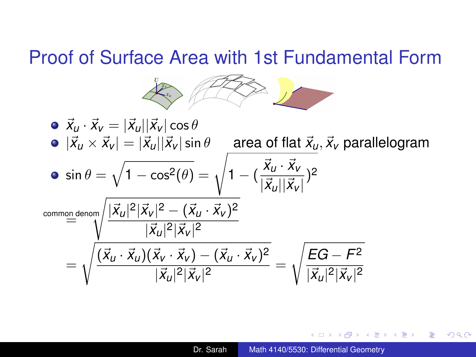

$$
\begin{aligned}\n\bullet \ \vec{x}_u \cdot \vec{x}_v &= |\vec{x}_u||\vec{x}_v| \cos \theta \\
\bullet |\vec{x}_u \times \vec{x}_v| &= |\vec{x}_u||\vec{x}_v| \sin \theta \qquad \text{area of flat } \vec{x}_u, \vec{x}_v \text{ parallelogram} \\
\bullet \ \sin \theta &= \sqrt{1 - \cos^2(\theta)} = \sqrt{1 - (\frac{\vec{x}_u \cdot \vec{x}_v}{|\vec{x}_u||\vec{x}_v|})^2} \\
\text{commonedronm} \frac{|\vec{x}_u|^2 |\vec{x}_v|^2 - (\vec{x}_u \cdot \vec{x}_v)^2}{|\vec{x}_u|^2 |\vec{x}_v|^2} \\
&= \sqrt{\frac{(\vec{x}_u \cdot \vec{x}_u)(\vec{x}_v \cdot \vec{x}_v) - (\vec{x}_u \cdot \vec{x}_v)^2}{|\vec{x}_u|^2 |\vec{x}_v|^2}} = \sqrt{\frac{EG - F^2}{|\vec{x}_u|^2 |\vec{x}_v|^2}\n\end{aligned}
$$

Dr. Sarah [Math 4140/5530: Differential Geometry](#page-0-0)

 $\leftarrow$ 

重し  $2990$ 

④ 重 を ④ 重 を…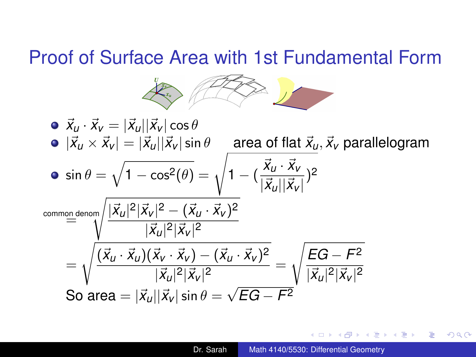

• 
$$
\vec{x}_u \cdot \vec{x}_v = |\vec{x}_u||\vec{x}_v| \cos \theta
$$
  
\n•  $|\vec{x}_u \times \vec{x}_v| = |\vec{x}_u||\vec{x}_v| \sin \theta$  area of flat  $\vec{x}_u, \vec{x}_v$  parallelogram  
\n•  $\sin \theta = \sqrt{1 - \cos^2(\theta)} = \sqrt{1 - (\frac{\vec{x}_u \cdot \vec{x}_v}{|\vec{x}_u||\vec{x}_v|})^2}$   
\n
$$
\cos \theta = \sqrt{\frac{|\vec{x}_u|^2 |\vec{x}_v|^2 - (\vec{x}_u \cdot \vec{x}_v)^2}{|\vec{x}_u|^2 |\vec{x}_v|^2}}
$$
\n
$$
= \sqrt{\frac{(\vec{x}_u \cdot \vec{x}_u)(\vec{x}_v \cdot \vec{x}_v) - (\vec{x}_u \cdot \vec{x}_v)^2}{|\vec{x}_u|^2 |\vec{x}_v|^2}} = \sqrt{\frac{EG - F^2}{|\vec{x}_u|^2 |\vec{x}_v|^2}}
$$
\nSo area =  $|\vec{x}_u||\vec{x}_v| \sin \theta = \sqrt{EG - F^2}$ 

 $\leftarrow$ 

重し  $2990$ 

④ 重 を ④ 重 を…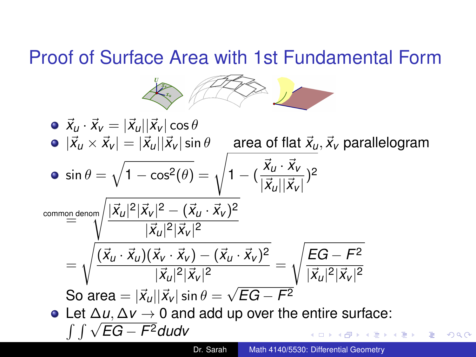

 $\vec{x}_u \cdot \vec{x}_v = |\vec{x}_u||\vec{x}_v| \cos \theta$  $\int \vec{x}_u \times \vec{x}_v = |\vec{x}_u||\vec{x}_v| \sin \theta$  area of flat  $\vec{x}_u, \vec{x}_v$  parallelogram  $\sin \theta = \sqrt{1 - \cos^2(\theta)} = \sqrt{1 - (\frac{\vec{X}_u \cdot \vec{X}_v}{\sqrt{1 - \frac{\vec{X}_u}{\sqrt{1 - \vec{X}_v}}}}$  $\frac{\overline{x}_u - \overline{x}_v}{|\vec{x}_u||\vec{x}_v|}$ <sup>2</sup>  $\sin\left(\vert \vec{X}_\text{\tiny U} \vert^2 \vert \vec{X}_\text{\tiny V} \vert^2 - (\vec{X}_\text{\tiny U} \cdot \vec{X}_\text{\tiny V})^2 \right)$  $\stackrel{\scriptstyle \mathsf{common}}{=} \stackrel{\scriptstyle \mathsf{denom}}{=} \,$  $|\vec{x}_u|^2 |\vec{x}_v|^2$  $\sqrt{(\vec{x}_u\cdot\vec{x}_u)(\vec{x}_v\cdot\vec{x}_v)-(\vec{x}_u\cdot\vec{x}_v)^2}$ s *EG* − *F*<sup>2</sup> =  $\frac{|\vec{x}_u|^2 |\vec{x}_v|^2}{|\vec{x}_u|^2}$  =  $-\int \frac{1}{|\vec{x}_u|^2 |\vec{x}_v|^2}$  $\mathsf{So}\ \mathsf{area} = |\vec{\mathsf{x}}_\mathsf{u}||\vec{\mathsf{x}}_\mathsf{v}|\sin\theta = \sqrt{EG - F^2}$ Let ∆*u*, ∆*v* → 0 and add up over the entire surface: R R <sup>√</sup> *EG* − *F*2*dudv*  $\Omega$ Dr. Sarah [Math 4140/5530: Differential Geometry](#page-0-0)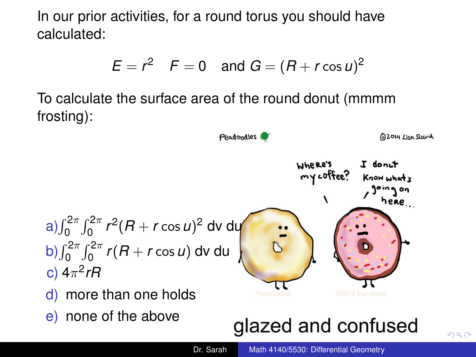In our prior activities, for a round torus you should have calculated:

$$
E = r^2 \quad F = 0 \quad \text{and } G = (R + r \cos u)^2
$$

To calculate the surface area of the round donut (mmmm frosting):

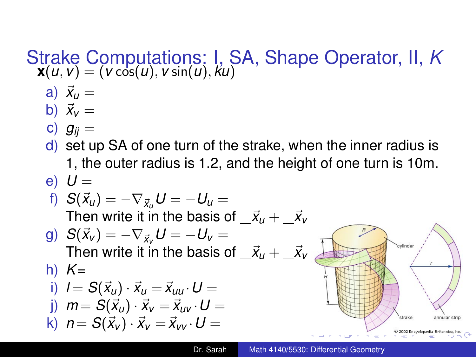#### Strake Computations: I, SA, Shape Operator, II, *K*  $\textbf{x}(u,v) = (v \cos(u), v \sin(u), ku)$

$$
a) \, \vec{x}_u =
$$

- b)  $\vec{x}_v =$
- c)  $g_{ii} =$
- d) set up SA of one turn of the strake, when the inner radius is 1, the outer radius is 1.2, and the height of one turn is 10m.  $e)$   $U =$

f) 
$$
S(\vec{x}_u) = -\nabla_{\vec{x}_u} U = -U_u =
$$

Then write it in the basis of  $\[\vec{x}_u + \[\vec{x}_v$ 

g) 
$$
S(\vec{x}_v) = -\nabla_{\vec{x}_v} U = -U_v =
$$
  
\nThen write it in the basis of  $-\vec{x}_u + -\vec{x}_v$   
\nh)  $K=$   
\ni)  $I = S(\vec{x}_u) \cdot \vec{x}_u = \vec{x}_{uu} \cdot U =$   
\nj)  $m = S(\vec{x}_u) \cdot \vec{x}_v = \vec{x}_{uv} \cdot U =$   
\nk)  $n = S(\vec{x}_v) \cdot \vec{x}_v = \vec{x}_{vv} \cdot U =$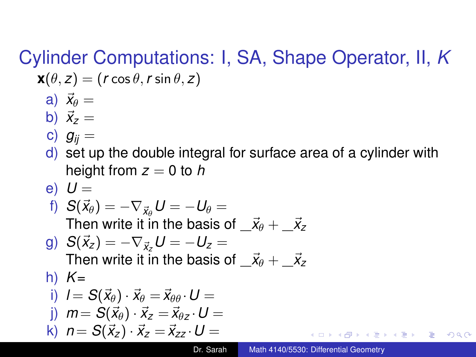# Cylinder Computations: I, SA, Shape Operator, II, *K*  $\mathbf{x}(\theta, z) = (r \cos \theta, r \sin \theta, z)$

$$
\overrightarrow{a} \times \overrightarrow{x}_{\theta} =
$$

$$
b) \ \vec{x}_z =
$$

c) 
$$
g_{ij} =
$$

d) set up the double integral for surface area of a cylinder with height from  $z = 0$  to h

$$
e) U =
$$

f) 
$$
S(\vec{x}_{\theta}) = -\nabla_{\vec{x}_{\theta}} U = -U_{\theta} =
$$
  
Then write it in the basis of  $-\vec{x}_{\theta} + -\vec{x}_{z}$   
g)  $S(\vec{x}_{z}) = -\nabla_{\vec{x}_{z}} U = -U_{z} =$   
Then write it in the basis of  $-\vec{x}_{\theta} + -\vec{x}_{z}$ 

$$
h) K=
$$

i) 
$$
l = S(\vec{x}_{\theta}) \cdot \vec{x}_{\theta} = \vec{x}_{\theta \theta} \cdot U =
$$
  
\nj)  $m = S(\vec{x}_{\theta}) \cdot \vec{x}_{z} = \vec{x}_{\theta z} \cdot U =$   
\nk)  $n = S(\vec{x}_{z}) \cdot \vec{x}_{z} = \vec{x}_{zz} \cdot U =$ 

重き メラメー

G.  $QQ$